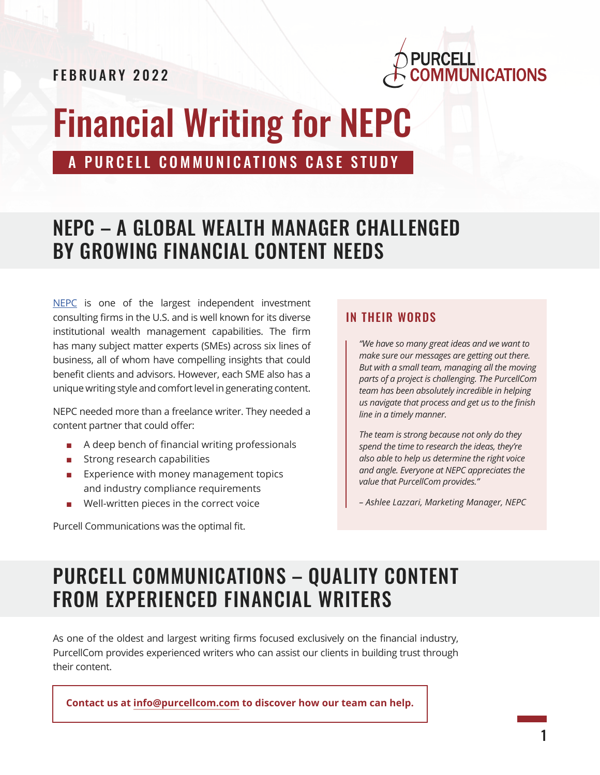FEBRUARY 2022



# Financial Writing for NEPC

A PURCELL COMMUNICATIONS CASE STUDY

#### NEPC – A GLOBAL WEALTH MANAGER CHALLENGED BY GROWING FINANCIAL CONTENT NEEDS

[NEPC](https://nepc.com/institutional/) is one of the largest independent investment consulting firms in the U.S. and is well known for its diverse institutional wealth management capabilities. The firm has many subject matter experts (SMEs) across six lines of business, all of whom have compelling insights that could benefit clients and advisors. However, each SME also has a unique writing style and comfort level in generating content.

NEPC needed more than a freelance writer. They needed a content partner that could offer:

- A deep bench of financial writing professionals
- Strong research capabilities
- Experience with money management topics and industry compliance requirements
- Well-written pieces in the correct voice

Purcell Communications was the optimal fit.

#### IN THEIR WORDS

*"We have so many great ideas and we want to make sure our messages are getting out there. But with a small team, managing all the moving parts of a project is challenging. The PurcellCom team has been absolutely incredible in helping us navigate that process and get us to the finish line in a timely manner.* 

*The team is strong because not only do they spend the time to research the ideas, they're also able to help us determine the right voice and angle. Everyone at NEPC appreciates the value that PurcellCom provides."* 

*– Ashlee Lazzari, Marketing Manager, NEPC*

# PURCELL COMMUNICATIONS – QUALITY CONTENT FROM EXPERIENCED FINANCIAL WRITERS

As one of the oldest and largest writing firms focused exclusively on the financial industry, PurcellCom provides experienced writers who can assist our clients in building trust through their content.

**Contact us at [info@purcellcom.com](mailto:info%40purcellcom.com?subject=) to discover how our team can help.**